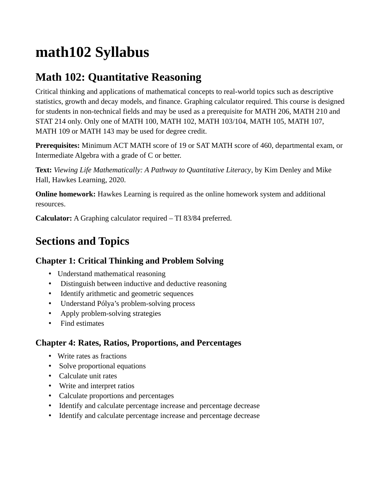# **math102 Syllabus**

# **Math 102: Quantitative Reasoning**

Critical thinking and applications of mathematical concepts to real-world topics such as descriptive statistics, growth and decay models, and finance. Graphing calculator required. This course is designed for students in non-technical fields and may be used as a prerequisite for MATH 206, MATH 210 and STAT 214 only. Only one of MATH 100, MATH 102, MATH 103/104, MATH 105, MATH 107, MATH 109 or MATH 143 may be used for degree credit.

**Prerequisites:** Minimum ACT MATH score of 19 or SAT MATH score of 460, departmental exam, or Intermediate Algebra with a grade of C or better.

**Text:** *Viewing Life Mathematically: A Pathway to Quantitative Literacy*, by Kim Denley and Mike Hall, Hawkes Learning, 2020.

**Online homework:** Hawkes Learning is required as the online homework system and additional resources.

**Calculator:** A Graphing calculator required – TI 83/84 preferred.

## **Sections and Topics**

## **Chapter 1: Critical Thinking and Problem Solving**

- Understand mathematical reasoning
- Distinguish between inductive and deductive reasoning
- Identify arithmetic and geometric sequences
- Understand Pólya's problem-solving process
- Apply problem-solving strategies
- Find estimates

## **Chapter 4: Rates, Ratios, Proportions, and Percentages**

- Write rates as fractions
- Solve proportional equations
- Calculate unit rates
- Write and interpret ratios
- Calculate proportions and percentages
- Identify and calculate percentage increase and percentage decrease
- Identify and calculate percentage increase and percentage decrease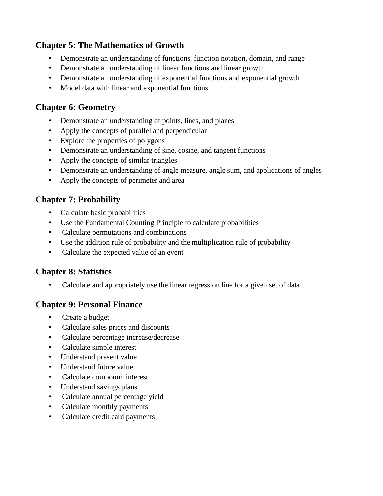#### **Chapter 5: The Mathematics of Growth**

- Demonstrate an understanding of functions, function notation, domain, and range
- Demonstrate an understanding of linear functions and linear growth
- Demonstrate an understanding of exponential functions and exponential growth
- Model data with linear and exponential functions

#### **Chapter 6: Geometry**

- Demonstrate an understanding of points, lines, and planes
- Apply the concepts of parallel and perpendicular
- Explore the properties of polygons
- Demonstrate an understanding of sine, cosine, and tangent functions
- Apply the concepts of similar triangles
- Demonstrate an understanding of angle measure, angle sum, and applications of angles
- Apply the concepts of perimeter and area

#### **Chapter 7: Probability**

- Calculate basic probabilities
- Use the Fundamental Counting Principle to calculate probabilities
- Calculate permutations and combinations
- Use the addition rule of probability and the multiplication rule of probability
- Calculate the expected value of an event

#### **Chapter 8: Statistics**

•    Calculate and appropriately use the linear regression line for a given set of data

#### **Chapter 9: Personal Finance**

- Create a budget
- Calculate sales prices and discounts
- Calculate percentage increase/decrease
- Calculate simple interest
- Understand present value
- Understand future value
- Calculate compound interest
- Understand savings plans
- Calculate annual percentage yield
- Calculate monthly payments
- Calculate credit card payments